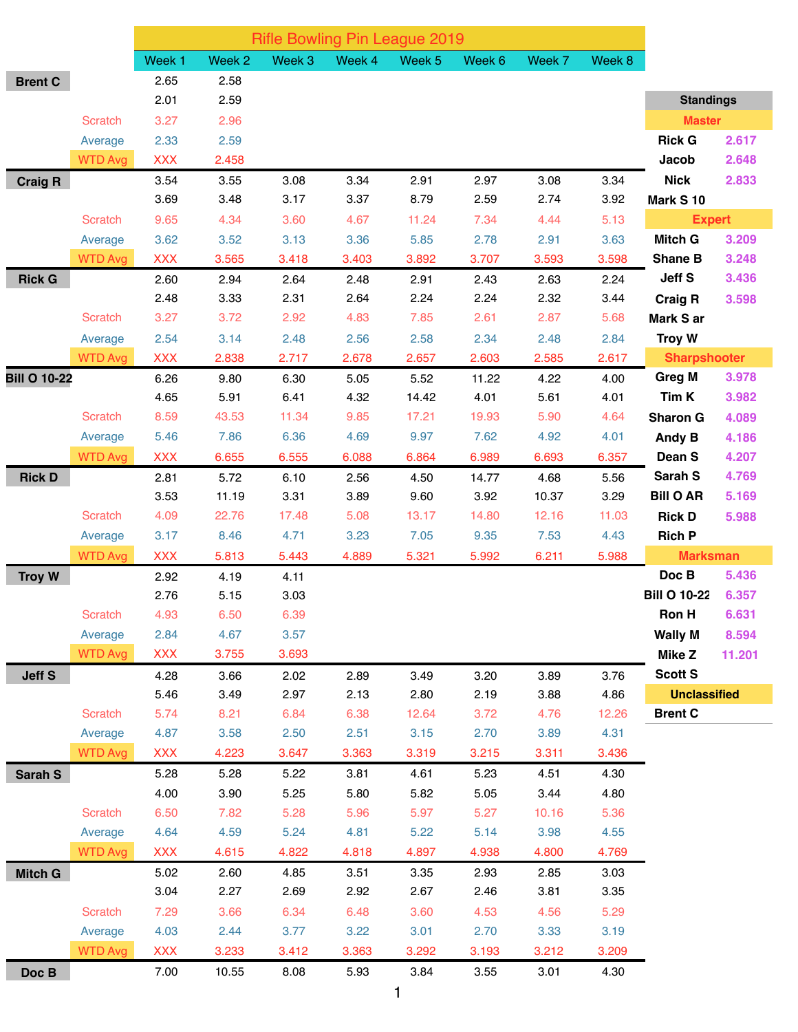|                     |                | <b>Rifle Bowling Pin League 2019</b> |                   |              |        |        |        |        |        |                              |                |
|---------------------|----------------|--------------------------------------|-------------------|--------------|--------|--------|--------|--------|--------|------------------------------|----------------|
|                     |                | Week 1                               | Week <sub>2</sub> | Week 3       | Week 4 | Week 5 | Week 6 | Week 7 | Week 8 |                              |                |
| <b>Brent C</b>      |                | 2.65                                 | 2.58              |              |        |        |        |        |        |                              |                |
|                     |                | 2.01                                 | 2.59              |              |        |        |        |        |        | <b>Standings</b>             |                |
|                     | <b>Scratch</b> | 3.27                                 | 2.96              |              |        |        |        |        |        | <b>Master</b>                |                |
|                     | Average        | 2.33                                 | 2.59              |              |        |        |        |        |        | <b>Rick G</b>                | 2.617          |
|                     | <b>WTD Avg</b> | <b>XXX</b>                           | 2.458             |              |        |        |        |        |        | Jacob                        | 2.648          |
| <b>Craig R</b>      |                | 3.54                                 | 3.55              | 3.08         | 3.34   | 2.91   | 2.97   | 3.08   | 3.34   | <b>Nick</b>                  | 2.833          |
|                     |                | 3.69                                 | 3.48              | 3.17         | 3.37   | 8.79   | 2.59   | 2.74   | 3.92   | Mark S 10                    |                |
|                     | <b>Scratch</b> | 9.65                                 | 4.34              | 3.60         | 4.67   | 11.24  | 7.34   | 4.44   | 5.13   | <b>Expert</b>                |                |
|                     | Average        | 3.62                                 | 3.52              | 3.13         | 3.36   | 5.85   | 2.78   | 2.91   | 3.63   | <b>Mitch G</b>               | 3.209          |
|                     | <b>WTD Avg</b> | <b>XXX</b>                           | 3.565             | 3.418        | 3.403  | 3.892  | 3.707  | 3.593  | 3.598  | <b>Shane B</b>               | 3.248          |
| <b>Rick G</b>       |                | 2.60                                 | 2.94              | 2.64         | 2.48   | 2.91   | 2.43   | 2.63   | 2.24   | Jeff S                       | 3.436          |
|                     |                | 2.48                                 | 3.33              | 2.31         | 2.64   | 2.24   | 2.24   | 2.32   | 3.44   | <b>Craig R</b>               | 3.598          |
|                     | <b>Scratch</b> | 3.27                                 | 3.72              | 2.92         | 4.83   | 7.85   | 2.61   | 2.87   | 5.68   | Mark S ar                    |                |
|                     | Average        | 2.54                                 | 3.14              | 2.48         | 2.56   | 2.58   | 2.34   | 2.48   | 2.84   | <b>Troy W</b>                |                |
|                     | <b>WTD Avg</b> | <b>XXX</b>                           | 2.838             | 2.717        | 2.678  | 2.657  | 2.603  | 2.585  | 2.617  | <b>Sharpshooter</b>          |                |
| <b>Bill O 10-22</b> |                | 6.26                                 | 9.80              | 6.30         | 5.05   | 5.52   | 11.22  | 4.22   | 4.00   | <b>Greg M</b>                | 3.978          |
|                     |                | 4.65                                 | 5.91              | 6.41         | 4.32   | 14.42  | 4.01   | 5.61   | 4.01   | Tim K                        | 3.982          |
|                     | <b>Scratch</b> | 8.59                                 | 43.53             | 11.34        | 9.85   | 17.21  | 19.93  | 5.90   | 4.64   | <b>Sharon G</b>              | 4.089          |
|                     | Average        | 5.46                                 | 7.86              | 6.36         | 4.69   | 9.97   | 7.62   | 4.92   | 4.01   | Andy B                       | 4.186          |
|                     | <b>WTD Avg</b> | <b>XXX</b>                           | 6.655             | 6.555        | 6.088  | 6.864  | 6.989  | 6.693  | 6.357  | Dean S                       | 4.207          |
| <b>Rick D</b>       |                | 2.81                                 | 5.72              | 6.10         | 2.56   | 4.50   | 14.77  | 4.68   | 5.56   | Sarah S                      | 4.769          |
|                     |                | 3.53                                 | 11.19             | 3.31         | 3.89   | 9.60   | 3.92   | 10.37  | 3.29   | <b>Bill O AR</b>             | 5.169          |
|                     | <b>Scratch</b> | 4.09                                 | 22.76             | 17.48        | 5.08   | 13.17  | 14.80  | 12.16  | 11.03  | <b>Rick D</b>                | 5.988          |
|                     | Average        | 3.17                                 | 8.46              | 4.71         | 3.23   | 7.05   | 9.35   | 7.53   | 4.43   | <b>Rich P</b>                |                |
|                     | <b>WTD Avg</b> | <b>XXX</b>                           | 5.813             | 5.443        | 4.889  | 5.321  | 5.992  | 6.211  | 5.988  | <b>Marksman</b>              |                |
| <b>Troy W</b>       |                | 2.92<br>2.76                         | 4.19              | 4.11         |        |        |        |        |        | Doc B<br><b>Bill O 10-22</b> | 5.436<br>6.357 |
|                     | Scratch        | 4.93                                 | 5.15<br>6.50      | 3.03<br>6.39 |        |        |        |        |        | Ron H                        | 6.631          |
|                     | Average        | 2.84                                 | 4.67              | 3.57         |        |        |        |        |        | <b>Wally M</b>               | 8.594          |
|                     | <b>WTD Avg</b> | <b>XXX</b>                           | 3.755             | 3.693        |        |        |        |        |        | Mike Z                       | 11.201         |
| <b>Jeff S</b>       |                | 4.28                                 | 3.66              | 2.02         | 2.89   | 3.49   | 3.20   | 3.89   | 3.76   | <b>Scott S</b>               |                |
|                     |                | 5.46                                 | 3.49              | 2.97         | 2.13   | 2.80   | 2.19   | 3.88   | 4.86   | <b>Unclassified</b>          |                |
|                     | <b>Scratch</b> | 5.74                                 | 8.21              | 6.84         | 6.38   | 12.64  | 3.72   | 4.76   | 12.26  | <b>Brent C</b>               |                |
|                     | Average        | 4.87                                 | 3.58              | 2.50         | 2.51   | 3.15   | 2.70   | 3.89   | 4.31   |                              |                |
|                     | <b>WTD Avg</b> | <b>XXX</b>                           | 4.223             | 3.647        | 3.363  | 3.319  | 3.215  | 3.311  | 3.436  |                              |                |
| Sarah S             |                | 5.28                                 | 5.28              | 5.22         | 3.81   | 4.61   | 5.23   | 4.51   | 4.30   |                              |                |
|                     |                | 4.00                                 | 3.90              | 5.25         | 5.80   | 5.82   | 5.05   | 3.44   | 4.80   |                              |                |
|                     | <b>Scratch</b> | 6.50                                 | 7.82              | 5.28         | 5.96   | 5.97   | 5.27   | 10.16  | 5.36   |                              |                |
|                     | Average        | 4.64                                 | 4.59              | 5.24         | 4.81   | 5.22   | 5.14   | 3.98   | 4.55   |                              |                |
|                     | <b>WTD Avg</b> | <b>XXX</b>                           | 4.615             | 4.822        | 4.818  | 4.897  | 4.938  | 4.800  | 4.769  |                              |                |
| <b>Mitch G</b>      |                | 5.02                                 | 2.60              | 4.85         | 3.51   | 3.35   | 2.93   | 2.85   | 3.03   |                              |                |
|                     |                | 3.04                                 | 2.27              | 2.69         | 2.92   | 2.67   | 2.46   | 3.81   | 3.35   |                              |                |
|                     | <b>Scratch</b> | 7.29                                 | 3.66              | 6.34         | 6.48   | 3.60   | 4.53   | 4.56   | 5.29   |                              |                |
|                     | Average        | 4.03                                 | 2.44              | 3.77         | 3.22   | 3.01   | 2.70   | 3.33   | 3.19   |                              |                |
|                     | <b>WTD Avg</b> | <b>XXX</b>                           | 3.233             | 3.412        | 3.363  | 3.292  | 3.193  | 3.212  | 3.209  |                              |                |
| Doc B               |                | 7.00                                 | 10.55             | 8.08         | 5.93   | 3.84   | 3.55   | 3.01   | 4.30   |                              |                |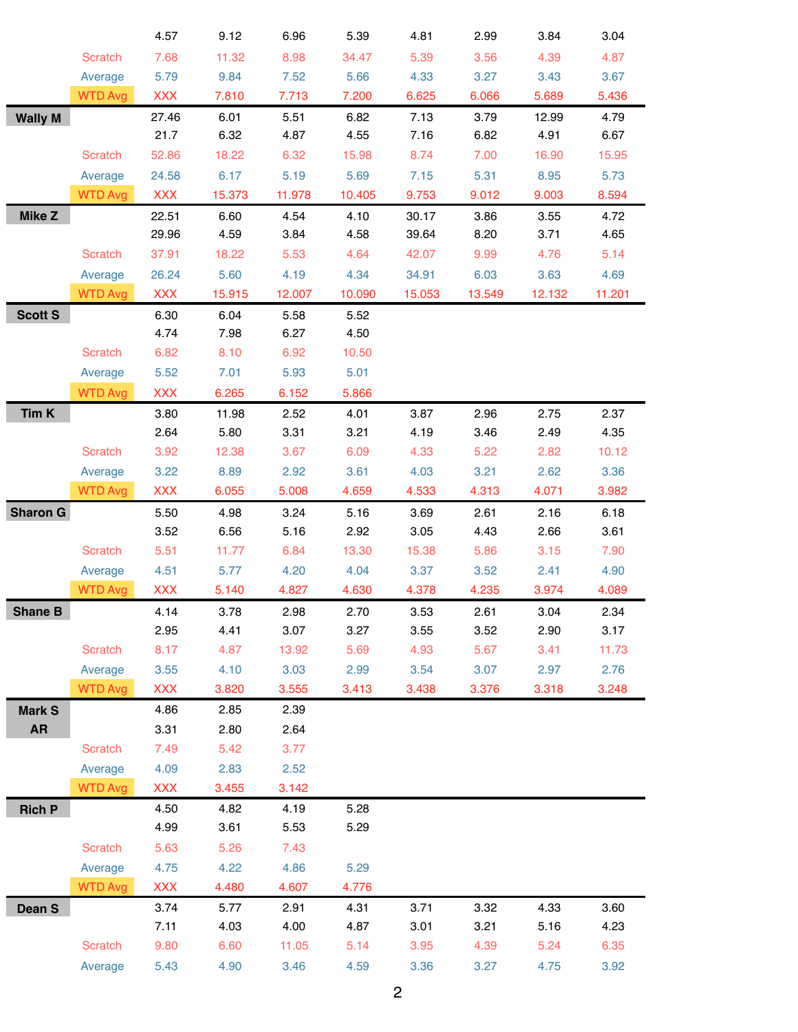|                 |                | 4.57         | 9.12         | 6.96         | 5.39         | 4.81         | 2.99         | 3.84         | 3.04         |
|-----------------|----------------|--------------|--------------|--------------|--------------|--------------|--------------|--------------|--------------|
|                 | <b>Scratch</b> | 7.68         | 11.32        | 8.98         | 34.47        | 5.39         | 3.56         | 4.39         | 4.87         |
|                 | Average        | 5.79         | 9.84         | 7.52         | 5.66         | 4.33         | 3.27         | 3.43         | 3.67         |
|                 | <b>WTD Avg</b> | <b>XXX</b>   | 7.810        | 7.713        | 7.200        | 6.625        | 6.066        | 5.689        | 5.436        |
| <b>Wally M</b>  |                | 27.46        | 6.01         | 5.51         | 6.82         | 7.13         | 3.79         | 12.99        | 4.79         |
|                 |                | 21.7         | 6.32         | 4.87         | 4.55         | 7.16         | 6.82         | 4.91         | 6.67         |
|                 | <b>Scratch</b> | 52.86        | 18.22        | 6.32         | 15.98        | 8.74         | 7.00         | 16.90        | 15.95        |
|                 | Average        | 24.58        | 6.17         | 5.19         | 5.69         | 7.15         | 5.31         | 8.95         | 5.73         |
|                 | <b>WTD Avg</b> | <b>XXX</b>   | 15.373       | 11.978       | 10.405       | 9.753        | 9.012        | 9.003        | 8.594        |
| <b>Mike Z</b>   |                | 22.51        | 6.60         | 4.54         | 4.10         | 30.17        | 3.86         | 3.55         | 4.72         |
|                 |                | 29.96        | 4.59         | 3.84         | 4.58         | 39.64        | 8.20         | 3.71         | 4.65         |
|                 | <b>Scratch</b> | 37.91        | 18.22        | 5.53         | 4.64         | 42.07        | 9.99         | 4.76         | 5.14         |
|                 | Average        | 26.24        | 5.60         | 4.19         | 4.34         | 34.91        | 6.03         | 3.63         | 4.69         |
|                 | <b>WTD Avg</b> | <b>XXX</b>   | 15.915       | 12.007       | 10.090       | 15.053       | 13.549       | 12.132       | 11.201       |
| <b>Scott S</b>  |                | 6.30         | 6.04         | 5.58         | 5.52         |              |              |              |              |
|                 |                | 4.74         | 7.98         | 6.27         | 4.50         |              |              |              |              |
|                 | <b>Scratch</b> | 6.82         | 8.10         | 6.92         | 10.50        |              |              |              |              |
|                 | Average        | 5.52         | 7.01         | 5.93         | 5.01         |              |              |              |              |
|                 | <b>WTD Avg</b> | <b>XXX</b>   | 6.265        | 6.152        | 5.866        |              |              |              |              |
| Tim K           |                | 3.80         | 11.98        | 2.52         | 4.01         | 3.87         | 2.96         | 2.75         | 2.37         |
|                 |                | 2.64         | 5.80         | 3.31         | 3.21         | 4.19         | 3.46         | 2.49         | 4.35         |
|                 | <b>Scratch</b> | 3.92         | 12.38        | 3.67         | 6.09         | 4.33         | 5.22         | 2.82         | 10.12        |
|                 | Average        | 3.22         | 8.89         | 2.92         | 3.61         | 4.03         | 3.21         | 2.62         | 3.36         |
|                 | <b>WTD Avg</b> | <b>XXX</b>   | 6.055        | 5.008        | 4.659        | 4.533        | 4.313        | 4.071        | 3.982        |
|                 |                |              |              |              |              |              |              |              |              |
| <b>Sharon G</b> |                | 5.50         | 4.98         | 3.24         | 5.16         | 3.69         | 2.61         | 2.16         | 6.18         |
|                 |                | 3.52         | 6.56         | 5.16         | 2.92         | 3.05         | 4.43         | 2.66         | 3.61         |
|                 | <b>Scratch</b> | 5.51         | 11.77        | 6.84         | 13.30        | 15.38        | 5.86         | 3.15         | 7.90         |
|                 | Average        | 4.51         | 5.77         | 4.20         | 4.04         | 3.37         | 3.52         | 2.41         | 4.90         |
|                 | <b>WTD Avg</b> | <b>XXX</b>   | 5.140        | 4.827        | 4.630        | 4.378        | 4.235        | 3.974        | 4.089        |
| <b>Shane B</b>  |                | 4.14         | 3.78         | 2.98         | 2.70         | 3.53         | 2.61         | 3.04         | 2.34         |
|                 |                | 2.95         | 4.41         | 3.07         | 3.27         | 3.55         | 3.52         | 2.90         | 3.17         |
|                 | <b>Scratch</b> | 8.17         | 4.87         | 13.92        | 5.69         | 4.93         | 5.67         | 3.41         | 11.73        |
|                 | Average        | 3.55         | 4.10         | 3.03         | 2.99         | 3.54         | 3.07         | 2.97         | 2.76         |
|                 | <b>WTD Avg</b> | <b>XXX</b>   | 3.820        | 3.555        | 3.413        | 3.438        | 3.376        | 3.318        | 3.248        |
| <b>Mark S</b>   |                | 4.86         | 2.85         | 2.39         |              |              |              |              |              |
| <b>AR</b>       |                | 3.31         | 2.80         | 2.64         |              |              |              |              |              |
|                 | <b>Scratch</b> | 7.49         | 5.42         | 3.77         |              |              |              |              |              |
|                 | Average        | 4.09         | 2.83         | 2.52         |              |              |              |              |              |
|                 | <b>WTD Avg</b> | <b>XXX</b>   | 3.455        | 3.142        |              |              |              |              |              |
| <b>Rich P</b>   |                | 4.50         | 4.82         | 4.19         | 5.28         |              |              |              |              |
|                 |                | 4.99         | 3.61         | 5.53<br>7.43 | 5.29         |              |              |              |              |
|                 | <b>Scratch</b> | 5.63         | 5.26         |              |              |              |              |              |              |
|                 | Average        | 4.75         | 4.22         | 4.86         | 5.29         |              |              |              |              |
|                 | <b>WTD Avg</b> | <b>XXX</b>   | 4.480        | 4.607        | 4.776        |              |              |              |              |
| Dean S          |                | 3.74<br>7.11 | 5.77<br>4.03 | 2.91<br>4.00 | 4.31<br>4.87 | 3.71<br>3.01 | 3.32<br>3.21 | 4.33<br>5.16 | 3.60<br>4.23 |
|                 | <b>Scratch</b> | 9.80         | 6.60         | 11.05        | 5.14         | 3.95         | 4.39         | 5.24         | 6.35         |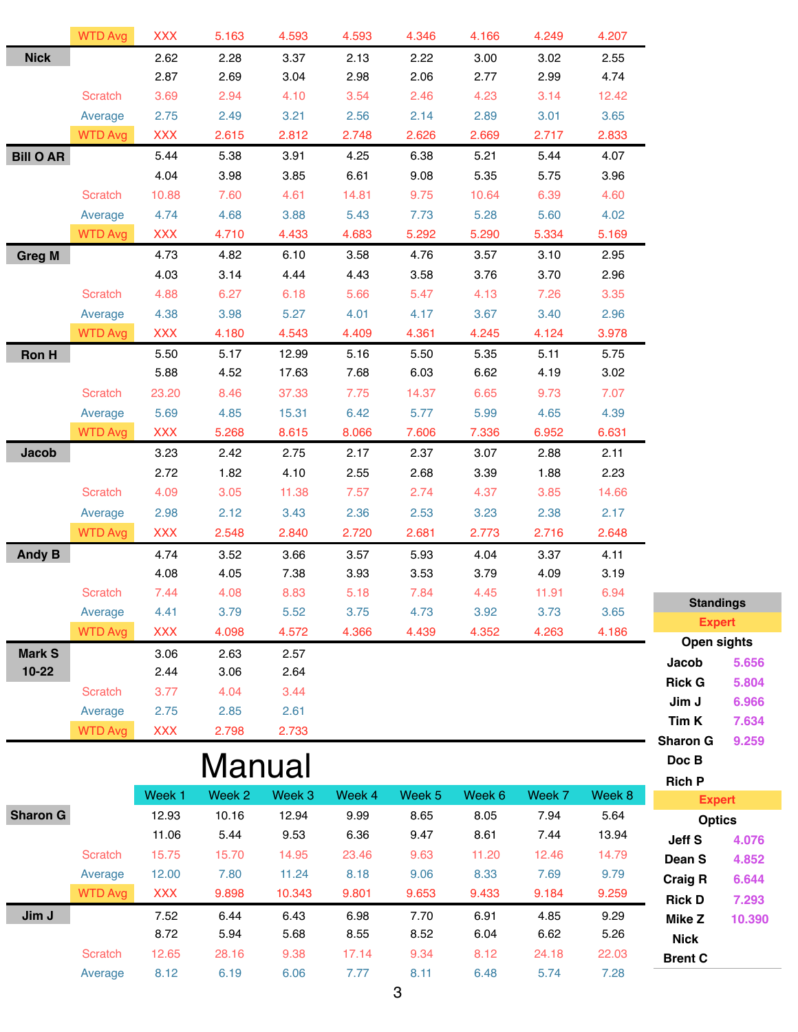|                  | <b>WTD Avg</b> | <b>XXX</b> | 5.163 | 4.593 | 4.593 | 4.346 | 4.166 | 4.249 | 4.207 |  |  |
|------------------|----------------|------------|-------|-------|-------|-------|-------|-------|-------|--|--|
| <b>Nick</b>      |                | 2.62       | 2.28  | 3.37  | 2.13  | 2.22  | 3.00  | 3.02  | 2.55  |  |  |
|                  |                | 2.87       | 2.69  | 3.04  | 2.98  | 2.06  | 2.77  | 2.99  | 4.74  |  |  |
|                  | <b>Scratch</b> | 3.69       | 2.94  | 4.10  | 3.54  | 2.46  | 4.23  | 3.14  | 12.42 |  |  |
|                  | Average        | 2.75       | 2.49  | 3.21  | 2.56  | 2.14  | 2.89  | 3.01  | 3.65  |  |  |
|                  | <b>WTD Avg</b> | <b>XXX</b> | 2.615 | 2.812 | 2.748 | 2.626 | 2.669 | 2.717 | 2.833 |  |  |
| <b>Bill O AR</b> |                | 5.44       | 5.38  | 3.91  | 4.25  | 6.38  | 5.21  | 5.44  | 4.07  |  |  |
|                  |                | 4.04       | 3.98  | 3.85  | 6.61  | 9.08  | 5.35  | 5.75  | 3.96  |  |  |
|                  | Scratch        | 10.88      | 7.60  | 4.61  | 14.81 | 9.75  | 10.64 | 6.39  | 4.60  |  |  |
|                  | Average        | 4.74       | 4.68  | 3.88  | 5.43  | 7.73  | 5.28  | 5.60  | 4.02  |  |  |
|                  | <b>WTD Avg</b> | <b>XXX</b> | 4.710 | 4.433 | 4.683 | 5.292 | 5.290 | 5.334 | 5.169 |  |  |
| <b>Greg M</b>    |                | 4.73       | 4.82  | 6.10  | 3.58  | 4.76  | 3.57  | 3.10  | 2.95  |  |  |
|                  |                | 4.03       | 3.14  | 4.44  | 4.43  | 3.58  | 3.76  | 3.70  | 2.96  |  |  |
|                  | <b>Scratch</b> | 4.88       | 6.27  | 6.18  | 5.66  | 5.47  | 4.13  | 7.26  | 3.35  |  |  |
|                  | Average        | 4.38       | 3.98  | 5.27  | 4.01  | 4.17  | 3.67  | 3.40  | 2.96  |  |  |
|                  | <b>WTD Avg</b> | <b>XXX</b> | 4.180 | 4.543 | 4.409 | 4.361 | 4.245 | 4.124 | 3.978 |  |  |
| Ron H            |                | 5.50       | 5.17  | 12.99 | 5.16  | 5.50  | 5.35  | 5.11  | 5.75  |  |  |
|                  |                | 5.88       | 4.52  | 17.63 | 7.68  | 6.03  | 6.62  | 4.19  | 3.02  |  |  |
|                  | <b>Scratch</b> | 23.20      | 8.46  | 37.33 | 7.75  | 14.37 | 6.65  | 9.73  | 7.07  |  |  |
|                  | Average        | 5.69       | 4.85  | 15.31 | 6.42  | 5.77  | 5.99  | 4.65  | 4.39  |  |  |
|                  | <b>WTD Avg</b> | <b>XXX</b> | 5.268 | 8.615 | 8.066 | 7.606 | 7.336 | 6.952 | 6.631 |  |  |
| <b>Jacob</b>     |                | 3.23       | 2.42  | 2.75  | 2.17  | 2.37  | 3.07  | 2.88  | 2.11  |  |  |
|                  |                | 2.72       | 1.82  | 4.10  | 2.55  | 2.68  | 3.39  | 1.88  | 2.23  |  |  |
|                  | <b>Scratch</b> | 4.09       | 3.05  | 11.38 | 7.57  | 2.74  | 4.37  | 3.85  | 14.66 |  |  |
|                  | Average        | 2.98       | 2.12  | 3.43  | 2.36  | 2.53  | 3.23  | 2.38  | 2.17  |  |  |
|                  | <b>WTD Avg</b> | <b>XXX</b> | 2.548 | 2.840 | 2.720 | 2.681 | 2.773 | 2.716 | 2.648 |  |  |
| <b>Andy B</b>    |                | 4.74       | 3.52  | 3.66  | 3.57  | 5.93  | 4.04  | 3.37  | 4.11  |  |  |
|                  |                | 4.08       | 4.05  | 7.38  | 3.93  | 3.53  | 3.79  | 4.09  | 3.19  |  |  |
|                  | <b>Scratch</b> | 7.44       | 4.08  | 8.83  | 5.18  | 7.84  | 4.45  | 11.91 | 6.94  |  |  |
|                  | Average        | 4.41       | 3.79  | 5.52  | 3.75  | 4.73  | 3.92  | 3.73  | 3.65  |  |  |
|                  | <b>WTD Avg</b> | <b>XXX</b> | 4.098 | 4.572 | 4.366 | 4.439 | 4.352 | 4.263 | 4.186 |  |  |
| <b>Mark S</b>    |                | 3.06       | 2.63  | 2.57  |       |       |       |       |       |  |  |
| $10-22$          |                | 2.44       | 3.06  | 2.64  |       |       |       |       |       |  |  |
|                  | <b>Scratch</b> | 3.77       | 4.04  | 3.44  |       |       |       |       |       |  |  |
|                  | Average        | 2.75       | 2.85  | 2.61  |       |       |       |       |       |  |  |
|                  | <b>WTD Avg</b> | <b>XXX</b> | 2.798 | 2.733 |       |       |       |       |       |  |  |
|                  | M              |            |       |       |       |       |       |       |       |  |  |

| Manual |  |
|--------|--|
|        |  |

|                 |                | IVIUI IUUI |        |        |        |        |        |        |        |                                |        |
|-----------------|----------------|------------|--------|--------|--------|--------|--------|--------|--------|--------------------------------|--------|
|                 |                | Week 1     | Week 2 | Week 3 | Week 4 | Week 5 | Week 6 | Week 7 | Week 8 | <b>Rich P</b><br><b>Expert</b> |        |
| <b>Sharon G</b> |                | 12.93      | 10.16  | 12.94  | 9.99   | 8.65   | 8.05   | 7.94   | 5.64   | <b>Optics</b>                  |        |
|                 |                | 11.06      | 5.44   | 9.53   | 6.36   | 9.47   | 8.61   | 7.44   | 13.94  | Jeff S                         | 4.076  |
|                 | Scratch        | 15.75      | 15.70  | 14.95  | 23.46  | 9.63   | 11.20  | 12.46  | 14.79  | Dean S                         | 4.852  |
|                 | Average        | 12.00      | 7.80   | 11.24  | 8.18   | 9.06   | 8.33   | 7.69   | 9.79   | <b>Craig R</b>                 | 6.644  |
|                 | <b>WTD Avg</b> | <b>XXX</b> | 9.898  | 10.343 | 9.801  | 9.653  | 9.433  | 9.184  | 9.259  | <b>Rick D</b>                  | 7.293  |
| Jim J           |                | 7.52       | 6.44   | 6.43   | 6.98   | 7.70   | 6.91   | 4.85   | 9.29   | Mike Z                         | 10.390 |
|                 |                | 8.72       | 5.94   | 5.68   | 8.55   | 8.52   | 6.04   | 6.62   | 5.26   | <b>Nick</b>                    |        |
|                 | Scratch        | 12.65      | 28.16  | 9.38   | 17.14  | 9.34   | 8.12   | 24.18  | 22.03  | <b>Brent C</b>                 |        |
|                 | Average        | 8.12       | 6.19   | 6.06   | 7.77   | 8.11   | 6.48   | 5.74   | 7.28   |                                |        |

 **Standings Expert Open sights Jacob 5.656 Rick G 5.804 Jim J 6.966 Tim K 7.634 Sharon G 9.259**

**Doc B**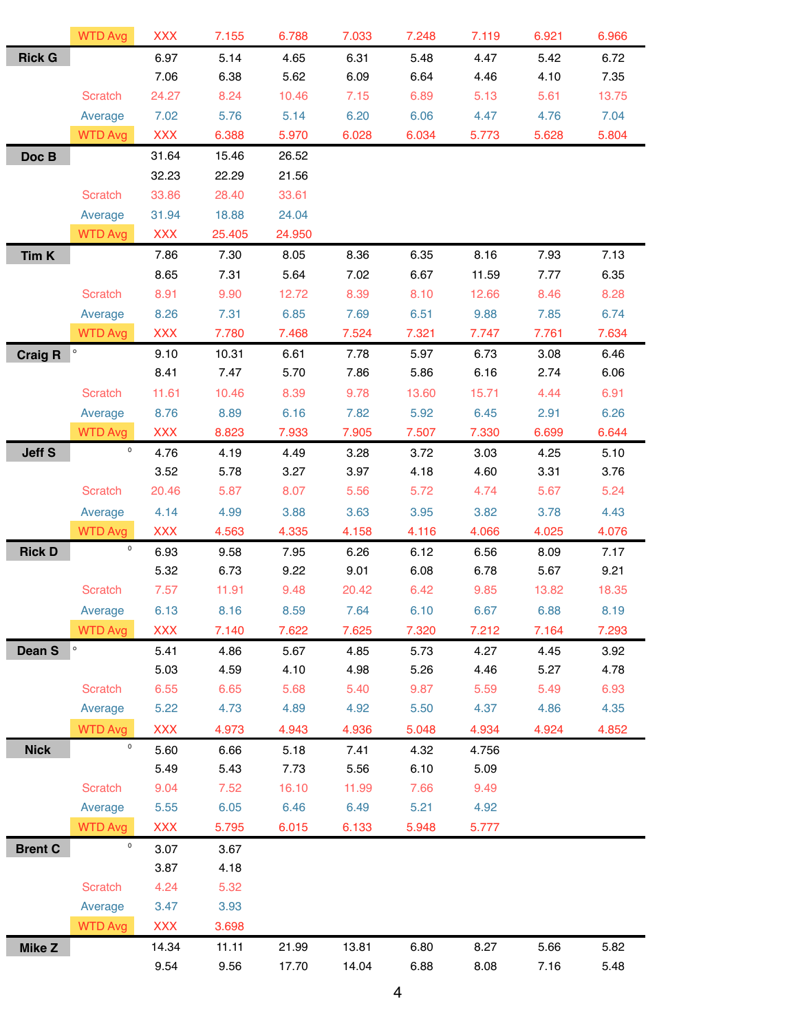|                | <b>WTD Avg</b> | <b>XXX</b> | 7.155  | 6.788  | 7.033 | 7.248 | 7.119 | 6.921 | 6.966 |
|----------------|----------------|------------|--------|--------|-------|-------|-------|-------|-------|
| <b>Rick G</b>  |                | 6.97       | 5.14   | 4.65   | 6.31  | 5.48  | 4.47  | 5.42  | 6.72  |
|                |                | 7.06       | 6.38   | 5.62   | 6.09  | 6.64  | 4.46  | 4.10  | 7.35  |
|                | Scratch        | 24.27      | 8.24   | 10.46  | 7.15  | 6.89  | 5.13  | 5.61  | 13.75 |
|                | Average        | 7.02       | 5.76   | 5.14   | 6.20  | 6.06  | 4.47  | 4.76  | 7.04  |
|                | <b>WTD Avg</b> | <b>XXX</b> | 6.388  | 5.970  | 6.028 | 6.034 | 5.773 | 5.628 | 5.804 |
| Doc B          |                | 31.64      | 15.46  | 26.52  |       |       |       |       |       |
|                |                | 32.23      | 22.29  | 21.56  |       |       |       |       |       |
|                | <b>Scratch</b> | 33.86      | 28.40  | 33.61  |       |       |       |       |       |
|                | Average        | 31.94      | 18.88  | 24.04  |       |       |       |       |       |
|                | <b>WTD Avg</b> | <b>XXX</b> | 25.405 | 24.950 |       |       |       |       |       |
| Tim K          |                | 7.86       | 7.30   | 8.05   | 8.36  | 6.35  | 8.16  | 7.93  | 7.13  |
|                |                | 8.65       | 7.31   | 5.64   | 7.02  | 6.67  | 11.59 | 7.77  | 6.35  |
|                | <b>Scratch</b> | 8.91       | 9.90   | 12.72  | 8.39  | 8.10  | 12.66 | 8.46  | 8.28  |
|                | Average        | 8.26       | 7.31   | 6.85   | 7.69  | 6.51  | 9.88  | 7.85  | 6.74  |
|                | <b>WTD Avg</b> | <b>XXX</b> | 7.780  | 7.468  | 7.524 | 7.321 | 7.747 | 7.761 | 7.634 |
| <b>Craig R</b> | $\mathsf{o}$   | 9.10       | 10.31  | 6.61   | 7.78  | 5.97  | 6.73  | 3.08  | 6.46  |
|                |                | 8.41       | 7.47   | 5.70   | 7.86  | 5.86  | 6.16  | 2.74  | 6.06  |
|                | <b>Scratch</b> | 11.61      | 10.46  | 8.39   | 9.78  | 13.60 | 15.71 | 4.44  | 6.91  |
|                | Average        | 8.76       | 8.89   | 6.16   | 7.82  | 5.92  | 6.45  | 2.91  | 6.26  |
|                | <b>WTD Avg</b> | <b>XXX</b> | 8.823  | 7.933  | 7.905 | 7.507 | 7.330 | 6.699 | 6.644 |
| <b>Jeff S</b>  | $\pmb{0}$      | 4.76       | 4.19   | 4.49   | 3.28  | 3.72  | 3.03  | 4.25  | 5.10  |
|                |                | 3.52       | 5.78   | 3.27   | 3.97  | 4.18  | 4.60  | 3.31  | 3.76  |
|                | Scratch        | 20.46      | 5.87   | 8.07   | 5.56  | 5.72  | 4.74  | 5.67  | 5.24  |
|                | Average        | 4.14       | 4.99   | 3.88   | 3.63  | 3.95  | 3.82  | 3.78  | 4.43  |
|                | <b>WTD Avg</b> | <b>XXX</b> | 4.563  | 4.335  | 4.158 | 4.116 | 4.066 | 4.025 | 4.076 |
| <b>Rick D</b>  | $\pmb{0}$      | 6.93       | 9.58   | 7.95   | 6.26  | 6.12  | 6.56  | 8.09  | 7.17  |
|                |                | 5.32       | 6.73   | 9.22   | 9.01  | 6.08  | 6.78  | 5.67  | 9.21  |
|                | <b>Scratch</b> | 7.57       | 11.91  | 9.48   | 20.42 | 6.42  | 9.85  | 13.82 | 18.35 |
|                | Average        | 6.13       | 8.16   | 8.59   | 7.64  | 6.10  | 6.67  | 6.88  | 8.19  |
|                | <b>WTD Avg</b> | <b>XXX</b> | 7.140  | 7.622  | 7.625 | 7.320 | 7.212 | 7.164 | 7.293 |
| Dean S         | $\circ$        | 5.41       | 4.86   | 5.67   | 4.85  | 5.73  | 4.27  | 4.45  | 3.92  |
|                |                | 5.03       | 4.59   | 4.10   | 4.98  | 5.26  | 4.46  | 5.27  | 4.78  |
|                | Scratch        | 6.55       | 6.65   | 5.68   | 5.40  | 9.87  | 5.59  | 5.49  | 6.93  |
|                | Average        | 5.22       | 4.73   | 4.89   | 4.92  | 5.50  | 4.37  | 4.86  | 4.35  |
|                | <b>WTD Avg</b> | <b>XXX</b> | 4.973  | 4.943  | 4.936 | 5.048 | 4.934 | 4.924 | 4.852 |
| <b>Nick</b>    | $\pmb{0}$      | 5.60       | 6.66   | 5.18   | 7.41  | 4.32  | 4.756 |       |       |
|                |                | 5.49       | 5.43   | 7.73   | 5.56  | 6.10  | 5.09  |       |       |
|                | <b>Scratch</b> | 9.04       | 7.52   | 16.10  | 11.99 | 7.66  | 9.49  |       |       |
|                | Average        | 5.55       | 6.05   | 6.46   | 6.49  | 5.21  | 4.92  |       |       |
|                | <b>WTD Avg</b> | <b>XXX</b> | 5.795  | 6.015  | 6.133 | 5.948 | 5.777 |       |       |
| <b>Brent C</b> | $\pmb{0}$      | 3.07       | 3.67   |        |       |       |       |       |       |
|                |                | 3.87       | 4.18   |        |       |       |       |       |       |
|                | Scratch        | 4.24       | 5.32   |        |       |       |       |       |       |
|                | Average        | 3.47       | 3.93   |        |       |       |       |       |       |
|                | <b>WTD Avg</b> | <b>XXX</b> | 3.698  |        |       |       |       |       |       |
| Mike Z         |                | 14.34      | 11.11  | 21.99  | 13.81 | 6.80  | 8.27  | 5.66  | 5.82  |
|                |                | 9.54       | 9.56   | 17.70  | 14.04 | 6.88  | 8.08  | 7.16  | 5.48  |